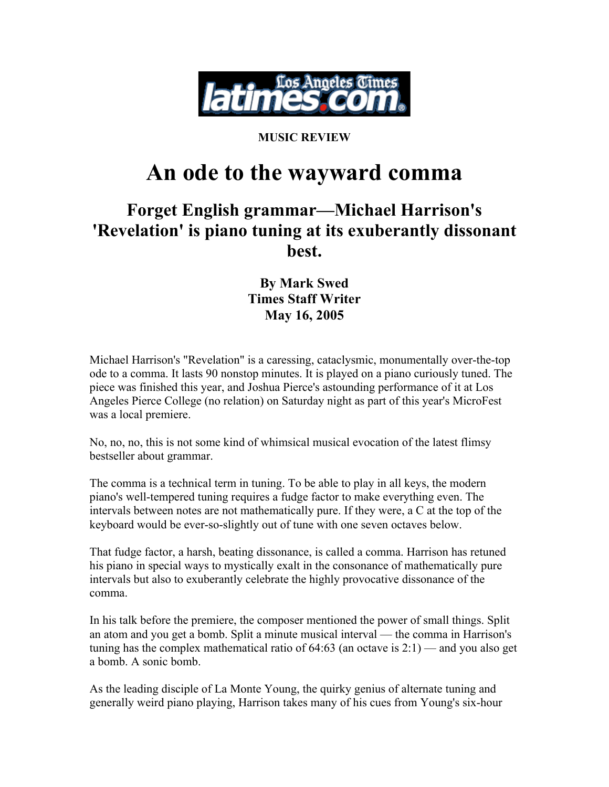

## **MUSIC REVIEW**

## **An ode to the wayward comma**

## **Forget English grammar—Michael Harrison's 'Revelation' is piano tuning at its exuberantly dissonant best.**

## **By Mark Swed Times Staff Writer May 16, 2005**

Michael Harrison's "Revelation" is a caressing, cataclysmic, monumentally over-the-top ode to a comma. It lasts 90 nonstop minutes. It is played on a piano curiously tuned. The piece was finished this year, and Joshua Pierce's astounding performance of it at Los Angeles Pierce College (no relation) on Saturday night as part of this year's MicroFest was a local premiere.

No, no, no, this is not some kind of whimsical musical evocation of the latest flimsy bestseller about grammar.

The comma is a technical term in tuning. To be able to play in all keys, the modern piano's well-tempered tuning requires a fudge factor to make everything even. The intervals between notes are not mathematically pure. If they were, a C at the top of the keyboard would be ever-so-slightly out of tune with one seven octaves below.

That fudge factor, a harsh, beating dissonance, is called a comma. Harrison has retuned his piano in special ways to mystically exalt in the consonance of mathematically pure intervals but also to exuberantly celebrate the highly provocative dissonance of the comma.

In his talk before the premiere, the composer mentioned the power of small things. Split an atom and you get a bomb. Split a minute musical interval — the comma in Harrison's tuning has the complex mathematical ratio of  $64:63$  (an octave is  $2:1$ ) — and you also get a bomb. A sonic bomb.

As the leading disciple of La Monte Young, the quirky genius of alternate tuning and generally weird piano playing, Harrison takes many of his cues from Young's six-hour